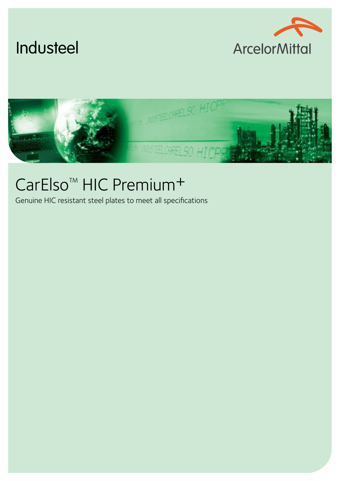





# CarElso<sup>™</sup> HIC Premium<sup>+</sup>

Genuine HIC resistant steel plates to meet all specifications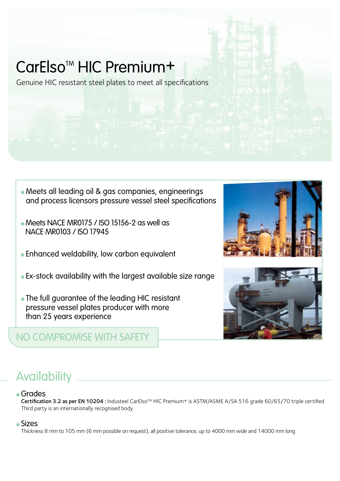# CarElso<sup>™</sup> HIC Premium<sup>+</sup>

Genuine HIC resistant steel plates to meet all specifications

- Meets all leading oil & gas companies, engineerings and process licensors pressure vessel steel specifications
- Meets NACE MR0175 / ISO 15156-2 as well as NACE MR0103 / ISO 17945
- <sup>l</sup> Enhanced weldability, low carbon equivalent
- **.** Ex-stock availability with the largest available size range
- The full guarantee of the leading HIC resistant pressure vessel plates producer with more than 25 years experience

#### NO COMPROMISE WITH SAFETY



## **Availability**

#### <sup>l</sup> Grades

Certification 3.2 as per EN 10204 : Industeel CarElso™ HIC Premium<sup>+</sup> is ASTM/ASME A/SA 516 grade 60/65/70 triple certified Third party is an internationally recognised body

#### <sup>l</sup> Sizes

Thickness 8 mm to 105 mm (6 mm possible on request), all positive tolerance, up to 4000 mm wide and 14000 mm long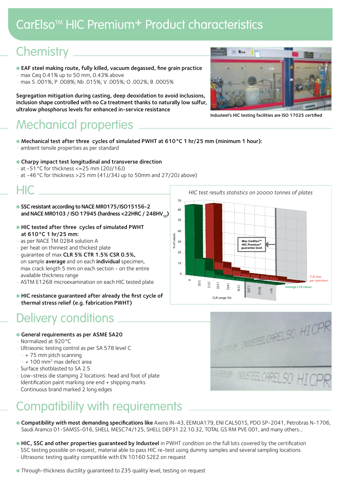## CarElso<sup>™</sup> HIC Premium<sup>+</sup> Product characteristics

### Chemistry .

- **EAF steel making route, fully killed, vacuum degassed, fine grain practice**
- max Ceq 0.41% up to 50 mm, 0.43% above
- max S .001%; P .008%; Nb .015%; V .005%; O .002%; B .0005%

Segregation mitigation during casting, deep deoxidation to avoid inclusions, inclusion shape controlled with no Ca treatment thanks to naturally low sulfur, ultralow phosphorus levels for enhanced in-service resistance

### Mechanical properties

- Mechanical test after three cycles of simulated PWHT at 610°C 1 hr/25 mm (minimum 1 hour):
- ambient tensile properties as per standard
- **Charpy impact test longitudinal and transverse direction**
- $\cdot$  at -51 °C for thickness <=25 mm (20J/16J)
- at -46°C for thickness >25 mm (41J/34J up to 50mm and 27/20J above)

#### HIC

- SSC resistant according to NACE MR0175/ISO15156-2 and NACE MR0103 / ISO 17945 (hardness <22HRC / 248HV<sub>10</sub>)
- l HIC tested after three cycles of simulated PWHT at 610°C 1 hr/25 mm:
- as per NACE TM 0284 solution A
- per heat on thinnest and thickest plate
- quarantee of max CLR 5% CTR 1.5% CSR 0.5%, on sample average and on each individual specimen, max crack length 5 mm on each section - on the entire available thickness range
- ASTM E1268 microexamination on each HIC tested plate
- l HIC resistance guaranteed after already the first cycle of thermal stress relief (e.g. fabrication PWHT)

#### Delivery conditions

- **General requirements as per ASME SA20**
- Normalized at 920°C
- Ultrasonic testing control as per SA 578 level C
- $+75$  mm pitch scanning
- $+100$  mm<sup>2</sup> max defect area
- Surface shotblasted to SA 2.5
- Low-stress die stamping 2 locations: head and foot of plate
- Identification paint marking one end + shipping marks
- Continuous brand marked 2 long edges

## Compatibility with requirements

- **Compatibility with most demanding specifications like** Axens IN-43, EEMUA179, ENI CAL501S, PDO SP-2041, Petrobras N-1706. Saudi Aramco 01-SAMSS-016, SHELL MESC74/125, SHELL DEP31.22.10.32, TOTAL GS RM PVE 001, and many others...
- **HIC, SSC and other properties quaranteed by Industeel** in PWHT condition on the full lots covered by the certification
- SSC testing possible on request, material able to pass HIC re-test using dummy samples and several sampling locations
- Ultrasonic testing quality compatible with EN 10160 S2E2 on request
- Through-thickness ductility quaranteed to Z35 quality level, testing on request



**MORELCHELSO HICP** 

MOUSTEEL CAREL SO HI



Industeel's HIC testing facilities are ISO 17025 certified